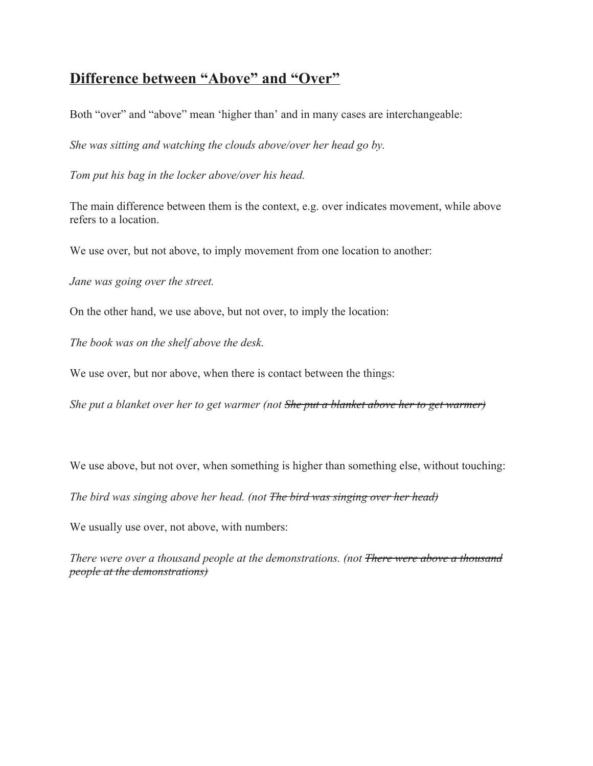## **Difference between "Above" and "Over"**

Both "over" and "above" mean 'higher than' and in many cases are interchangeable:

*She was sitting and watching the clouds above/over her head go by.*

*Tom put his bag in the locker above/over his head.*

The main difference between them is the context, e.g. over indicates movement, while above refers to a location.

We use over, but not above, to imply movement from one location to another:

*Jane was going over the street.*

On the other hand, we use above, but not over, to imply the location:

*The book was on the shelf above the desk.*

We use over, but nor above, when there is contact between the things:

*She put a blanket over her to get warmer (not She put a blanket above her to get warmer)*

We use above, but not over, when something is higher than something else, without touching:

*The bird was singing above her head. (not The bird was singing over her head)*

We usually use over, not above, with numbers:

*There were over a thousand people at the demonstrations. (not There were above a thousand people at the demonstrations)*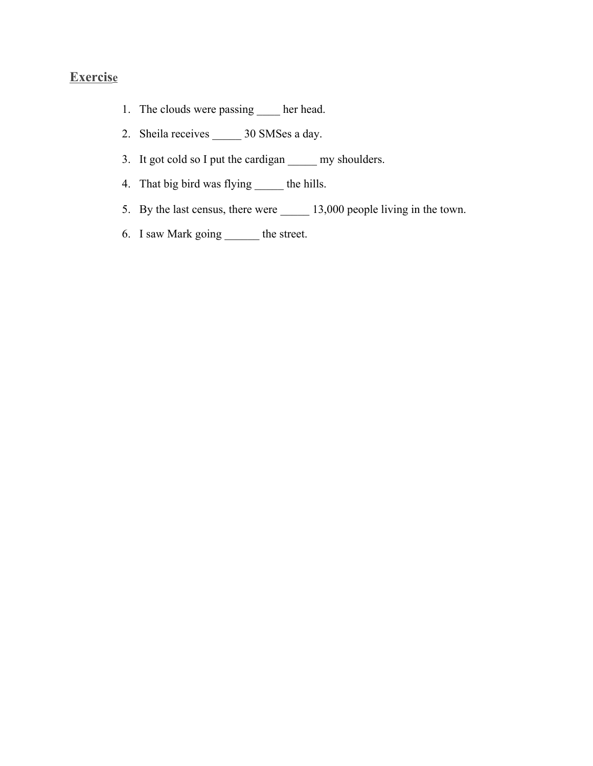## **Exercise**

- 1. The clouds were passing \_\_\_\_\_ her head.
- 2. Sheila receives \_\_\_\_\_ 30 SMSes a day.
- 3. It got cold so I put the cardigan \_\_\_\_\_ my shoulders.
- 4. That big bird was flying \_\_\_\_\_\_ the hills.
- 5. By the last census, there were \_\_\_\_\_\_ 13,000 people living in the town.
- 6. I saw Mark going \_\_\_\_\_\_ the street.